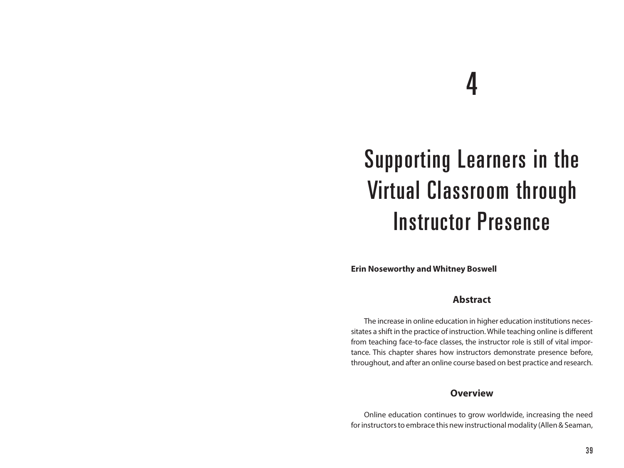# 4

# Supporting Learners in the Virtual Classroom through Instructor Presence

**Erin Noseworthy and Whitney Boswell**

## **Abstract**

The increase in online education in higher education institutions necessitates a shift in the practice of instruction. While teaching online is different from teaching face-to-face classes, the instructor role is still of vital importance. This chapter shares how instructors demonstrate presence before, throughout, and after an online course based on best practice and research.

#### **Overview**

Online education continues to grow worldwide, increasing the need for instructors to embrace this new instructional modality (Allen & Seaman,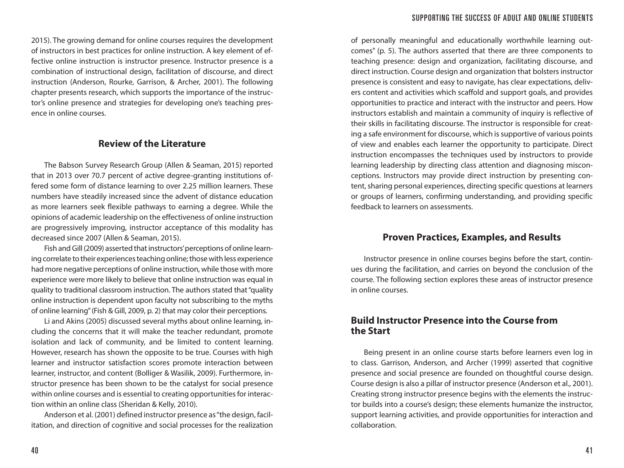2015). The growing demand for online courses requires the development of instructors in best practices for online instruction. A key element of effective online instruction is instructor presence. Instructor presence is a combination of instructional design, facilitation of discourse, and direct instruction (Anderson, Rourke, Garrison, & Archer, 2001). The following chapter presents research, which supports the importance of the instructor's online presence and strategies for developing one's teaching presence in online courses.

#### **Review of the Literature**

The Babson Survey Research Group (Allen & Seaman, 2015) reported that in 2013 over 70.7 percent of active degree-granting institutions offered some form of distance learning to over 2.25 million learners. These numbers have steadily increased since the advent of distance education as more learners seek flexible pathways to earning a degree. While the opinions of academic leadership on the effectiveness of online instruction are progressively improving, instructor acceptance of this modality has decreased since 2007 (Allen & Seaman, 2015).

Fish and Gill (2009) asserted that instructors' perceptions of online learning correlate to their experiences teaching online; those with less experience had more negative perceptions of online instruction, while those with more experience were more likely to believe that online instruction was equal in quality to traditional classroom instruction. The authors stated that "quality online instruction is dependent upon faculty not subscribing to the myths of online learning" (Fish & Gill, 2009, p. 2) that may color their perceptions.

Li and Akins (2005) discussed several myths about online learning, including the concerns that it will make the teacher redundant, promote isolation and lack of community, and be limited to content learning. However, research has shown the opposite to be true. Courses with high learner and instructor satisfaction scores promote interaction between learner, instructor, and content (Bolliger & Wasilik, 2009). Furthermore, instructor presence has been shown to be the catalyst for social presence within online courses and is essential to creating opportunities for interaction within an online class (Sheridan & Kelly, 2010).

Anderson et al. (2001) defined instructor presence as "the design, facilitation, and direction of cognitive and social processes for the realization

of personally meaningful and educationally worthwhile learning outcomes" (p. 5). The authors asserted that there are three components to teaching presence: design and organization, facilitating discourse, and direct instruction. Course design and organization that bolsters instructor presence is consistent and easy to navigate, has clear expectations, delivers content and activities which scaffold and support goals, and provides opportunities to practice and interact with the instructor and peers. How instructors establish and maintain a community of inquiry is reflective of their skills in facilitating discourse. The instructor is responsible for creating a safe environment for discourse, which is supportive of various points of view and enables each learner the opportunity to participate. Direct instruction encompasses the techniques used by instructors to provide learning leadership by directing class attention and diagnosing misconceptions. Instructors may provide direct instruction by presenting content, sharing personal experiences, directing specific questions at learners or groups of learners, confirming understanding, and providing specific feedback to learners on assessments.

# **Proven Practices, Examples, and Results**

Instructor presence in online courses begins before the start, continues during the facilitation, and carries on beyond the conclusion of the course. The following section explores these areas of instructor presence in online courses.

# **Build Instructor Presence into the Course from the Start**

Being present in an online course starts before learners even log in to class. Garrison, Anderson, and Archer (1999) asserted that cognitive presence and social presence are founded on thoughtful course design. Course design is also a pillar of instructor presence (Anderson et al., 2001). Creating strong instructor presence begins with the elements the instructor builds into a course's design; these elements humanize the instructor, support learning activities, and provide opportunities for interaction and collaboration.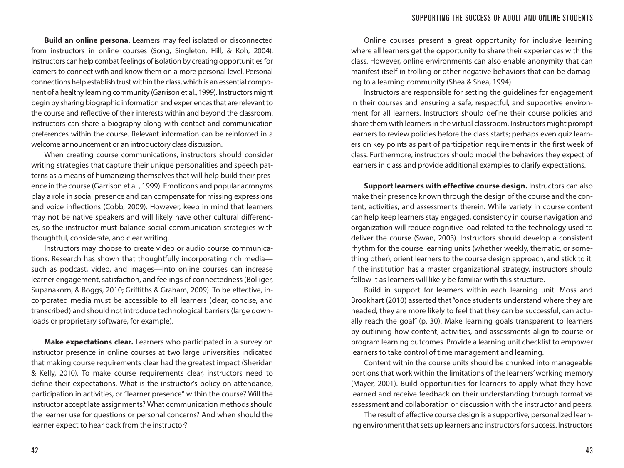**Build an online persona.** Learners may feel isolated or disconnected from instructors in online courses (Song, Singleton, Hill, & Koh, 2004). Instructors can help combat feelings of isolation by creating opportunities for learners to connect with and know them on a more personal level. Personal connections help establish trust within the class, which is an essential component of a healthy learning community (Garrison et al., 1999). Instructors might begin by sharing biographic information and experiences that are relevant to the course and reflective of their interests within and beyond the classroom. Instructors can share a biography along with contact and communication preferences within the course. Relevant information can be reinforced in a welcome announcement or an introductory class discussion.

When creating course communications, instructors should consider writing strategies that capture their unique personalities and speech patterns as a means of humanizing themselves that will help build their presence in the course (Garrison et al., 1999). Emoticons and popular acronyms play a role in social presence and can compensate for missing expressions and voice inflections (Cobb, 2009). However, keep in mind that learners may not be native speakers and will likely have other cultural differences, so the instructor must balance social communication strategies with thoughtful, considerate, and clear writing.

Instructors may choose to create video or audio course communications. Research has shown that thoughtfully incorporating rich media such as podcast, video, and images—into online courses can increase learner engagement, satisfaction, and feelings of connectedness (Bolliger, Supanakorn, & Boggs, 2010; Griffiths & Graham, 2009). To be effective, incorporated media must be accessible to all learners (clear, concise, and transcribed) and should not introduce technological barriers (large downloads or proprietary software, for example).

**Make expectations clear.** Learners who participated in a survey on instructor presence in online courses at two large universities indicated that making course requirements clear had the greatest impact (Sheridan & Kelly, 2010). To make course requirements clear, instructors need to define their expectations. What is the instructor's policy on attendance, participation in activities, or "learner presence" within the course? Will the instructor accept late assignments? What communication methods should the learner use for questions or personal concerns? And when should the learner expect to hear back from the instructor?

Online courses present a great opportunity for inclusive learning where all learners get the opportunity to share their experiences with the class. However, online environments can also enable anonymity that can manifest itself in trolling or other negative behaviors that can be damaging to a learning community (Shea & Shea, 1994).

Instructors are responsible for setting the guidelines for engagement in their courses and ensuring a safe, respectful, and supportive environment for all learners. Instructors should define their course policies and share them with learners in the virtual classroom. Instructors might prompt learners to review policies before the class starts; perhaps even quiz learners on key points as part of participation requirements in the first week of class. Furthermore, instructors should model the behaviors they expect of learners in class and provide additional examples to clarify expectations.

**Support learners with effective course design.** Instructors can also make their presence known through the design of the course and the content, activities, and assessments therein. While variety in course content can help keep learners stay engaged, consistency in course navigation and organization will reduce cognitive load related to the technology used to deliver the course (Swan, 2003). Instructors should develop a consistent rhythm for the course learning units (whether weekly, thematic, or something other), orient learners to the course design approach, and stick to it. If the institution has a master organizational strategy, instructors should follow it as learners will likely be familiar with this structure.

Build in support for learners within each learning unit. Moss and Brookhart (2010) asserted that "once students understand where they are headed, they are more likely to feel that they can be successful, can actually reach the goal" (p. 30). Make learning goals transparent to learners by outlining how content, activities, and assessments align to course or program learning outcomes. Provide a learning unit checklist to empower learners to take control of time management and learning.

Content within the course units should be chunked into manageable portions that work within the limitations of the learners' working memory (Mayer, 2001). Build opportunities for learners to apply what they have learned and receive feedback on their understanding through formative assessment and collaboration or discussion with the instructor and peers.

The result of effective course design is a supportive, personalized learning environment that sets up learners and instructors for success. Instructors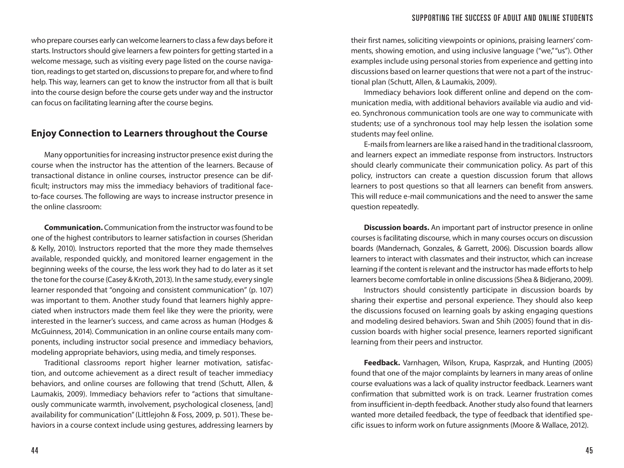who prepare courses early can welcome learners to class a few days before it starts. Instructors should give learners a few pointers for getting started in a welcome message, such as visiting every page listed on the course navigation, readings to get started on, discussions to prepare for, and where to find help. This way, learners can get to know the instructor from all that is built into the course design before the course gets under way and the instructor can focus on facilitating learning after the course begins.

# **Enjoy Connection to Learners throughout the Course**

Many opportunities for increasing instructor presence exist during the course when the instructor has the attention of the learners. Because of transactional distance in online courses, instructor presence can be difficult; instructors may miss the immediacy behaviors of traditional faceto-face courses. The following are ways to increase instructor presence in the online classroom:

**Communication.** Communication from the instructor was found to be one of the highest contributors to learner satisfaction in courses (Sheridan & Kelly, 2010). Instructors reported that the more they made themselves available, responded quickly, and monitored learner engagement in the beginning weeks of the course, the less work they had to do later as it set the tone for the course (Casey & Kroth, 2013). In the same study, every single learner responded that "ongoing and consistent communication" (p. 107) was important to them. Another study found that learners highly appreciated when instructors made them feel like they were the priority, were interested in the learner's success, and came across as human (Hodges & McGuinness, 2014). Communication in an online course entails many components, including instructor social presence and immediacy behaviors, modeling appropriate behaviors, using media, and timely responses.

Traditional classrooms report higher learner motivation, satisfaction, and outcome achievement as a direct result of teacher immediacy behaviors, and online courses are following that trend (Schutt, Allen, & Laumakis, 2009). Immediacy behaviors refer to "actions that simultaneously communicate warmth, involvement, psychological closeness, [and] availability for communication" (Littlejohn & Foss, 2009, p. 501). These behaviors in a course context include using gestures, addressing learners by

their first names, soliciting viewpoints or opinions, praising learners' comments, showing emotion, and using inclusive language ("we," "us"). Other examples include using personal stories from experience and getting into discussions based on learner questions that were not a part of the instructional plan (Schutt, Allen, & Laumakis, 2009).

Immediacy behaviors look different online and depend on the communication media, with additional behaviors available via audio and video. Synchronous communication tools are one way to communicate with students; use of a synchronous tool may help lessen the isolation some students may feel online.

E-mails from learners are like a raised hand in the traditional classroom, and learners expect an immediate response from instructors. Instructors should clearly communicate their communication policy. As part of this policy, instructors can create a question discussion forum that allows learners to post questions so that all learners can benefit from answers. This will reduce e-mail communications and the need to answer the same question repeatedly.

**Discussion boards.** An important part of instructor presence in online courses is facilitating discourse, which in many courses occurs on discussion boards (Mandernach, Gonzales, & Garrett, 2006). Discussion boards allow learners to interact with classmates and their instructor, which can increase learning if the content is relevant and the instructor has made efforts to help learners become comfortable in online discussions (Shea & Bidjerano, 2009).

Instructors should consistently participate in discussion boards by sharing their expertise and personal experience. They should also keep the discussions focused on learning goals by asking engaging questions and modeling desired behaviors. Swan and Shih (2005) found that in discussion boards with higher social presence, learners reported significant learning from their peers and instructor.

**Feedback.** Varnhagen, Wilson, Krupa, Kasprzak, and Hunting (2005) found that one of the major complaints by learners in many areas of online course evaluations was a lack of quality instructor feedback. Learners want confirmation that submitted work is on track. Learner frustration comes from insufficient in-depth feedback. Another study also found that learners wanted more detailed feedback, the type of feedback that identified specific issues to inform work on future assignments (Moore & Wallace, 2012).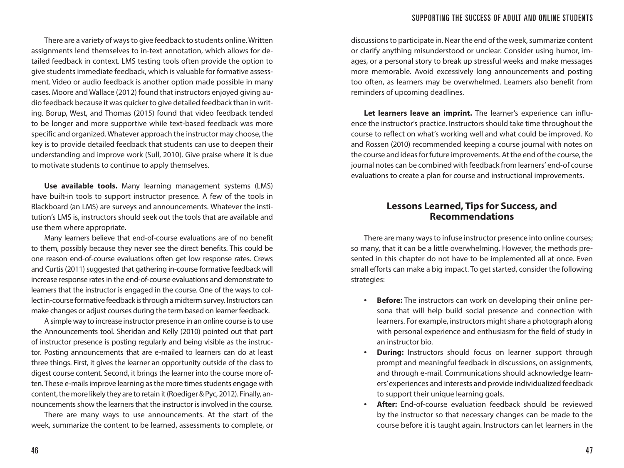There are a variety of ways to give feedback to students online. Written assignments lend themselves to in-text annotation, which allows for detailed feedback in context. LMS testing tools often provide the option to give students immediate feedback, which is valuable for formative assessment. Video or audio feedback is another option made possible in many cases. Moore and Wallace (2012) found that instructors enjoyed giving audio feedback because it was quicker to give detailed feedback than in writing. Borup, West, and Thomas (2015) found that video feedback tended to be longer and more supportive while text-based feedback was more specific and organized. Whatever approach the instructor may choose, the key is to provide detailed feedback that students can use to deepen their understanding and improve work (Sull, 2010). Give praise where it is due to motivate students to continue to apply themselves.

**Use available tools.** Many learning management systems (LMS) have built-in tools to support instructor presence. A few of the tools in Blackboard (an LMS) are surveys and announcements. Whatever the institution's LMS is, instructors should seek out the tools that are available and use them where appropriate.

Many learners believe that end-of-course evaluations are of no benefit to them, possibly because they never see the direct benefits. This could be one reason end-of-course evaluations often get low response rates. Crews and Curtis (2011) suggested that gathering in-course formative feedback will increase response rates in the end-of-course evaluations and demonstrate to learners that the instructor is engaged in the course. One of the ways to collect in-course formative feedback is through a midterm survey. Instructors can make changes or adjust courses during the term based on learner feedback.

A simple way to increase instructor presence in an online course is to use the Announcements tool. Sheridan and Kelly (2010) pointed out that part of instructor presence is posting regularly and being visible as the instructor. Posting announcements that are e-mailed to learners can do at least three things. First, it gives the learner an opportunity outside of the class to digest course content. Second, it brings the learner into the course more often. These e-mails improve learning as the more times students engage with content, the more likely they are to retain it (Roediger & Pyc, 2012). Finally, announcements show the learners that the instructor is involved in the course.

There are many ways to use announcements. At the start of the week, summarize the content to be learned, assessments to complete, or

discussions to participate in. Near the end of the week, summarize content or clarify anything misunderstood or unclear. Consider using humor, images, or a personal story to break up stressful weeks and make messages more memorable. Avoid excessively long announcements and posting too often, as learners may be overwhelmed. Learners also benefit from reminders of upcoming deadlines.

Let learners leave an imprint. The learner's experience can influence the instructor's practice. Instructors should take time throughout the course to reflect on what's working well and what could be improved. Ko and Rossen (2010) recommended keeping a course journal with notes on the course and ideas for future improvements. At the end of the course, the journal notes can be combined with feedback from learners' end-of course evaluations to create a plan for course and instructional improvements.

# **Lessons Learned, Tips for Success, and Recommendations**

There are many ways to infuse instructor presence into online courses; so many, that it can be a little overwhelming. However, the methods presented in this chapter do not have to be implemented all at once. Even small efforts can make a big impact. To get started, consider the following strategies:

- **Before:** The instructors can work on developing their online persona that will help build social presence and connection with learners. For example, instructors might share a photograph along with personal experience and enthusiasm for the field of study in an instructor bio.
- **During:** Instructors should focus on learner support through prompt and meaningful feedback in discussions, on assignments, and through e-mail. Communications should acknowledge learners' experiences and interests and provide individualized feedback to support their unique learning goals.
- **After:** End-of-course evaluation feedback should be reviewed by the instructor so that necessary changes can be made to the course before it is taught again. Instructors can let learners in the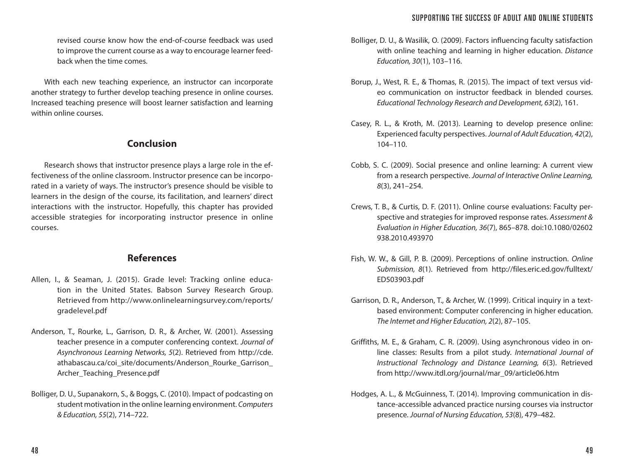revised course know how the end-of-course feedback was used to improve the current course as a way to encourage learner feedback when the time comes.

With each new teaching experience, an instructor can incorporate another strategy to further develop teaching presence in online courses. Increased teaching presence will boost learner satisfaction and learning within online courses.

# **Conclusion**

Research shows that instructor presence plays a large role in the effectiveness of the online classroom. Instructor presence can be incorporated in a variety of ways. The instructor's presence should be visible to learners in the design of the course, its facilitation, and learners' direct interactions with the instructor. Hopefully, this chapter has provided accessible strategies for incorporating instructor presence in online courses.

# **References**

- Allen, I., & Seaman, J. (2015). Grade level: Tracking online education in the United States. Babson Survey Research Group. Retrieved from http://www.onlinelearningsurvey.com/reports/ gradelevel.pdf
- Anderson, T., Rourke, L., Garrison, D. R., & Archer, W. (2001). Assessing teacher presence in a computer conferencing context. *Journal of Asynchronous Learning Networks, 5*(2). Retrieved from http://cde. athabascau.ca/coi\_site/documents/Anderson\_Rourke\_Garrison\_ Archer\_Teaching\_Presence.pdf
- Bolliger, D. U., Supanakorn, S., & Boggs, C. (2010). Impact of podcasting on student motivation in the online learning environment. *Computers & Education, 55*(2), 714–722.
- Bolliger, D. U., & Wasilik, O. (2009). Factors influencing faculty satisfaction with online teaching and learning in higher education. *Distance Education, 30*(1), 103–116.
- Borup, J., West, R. E., & Thomas, R. (2015). The impact of text versus video communication on instructor feedback in blended courses. *Educational Technology Research and Development, 63*(2), 161.
- Casey, R. L., & Kroth, M. (2013). Learning to develop presence online: Experienced faculty perspectives. *Journal of Adult Education, 42*(2), 104–110.
- Cobb, S. C. (2009). Social presence and online learning: A current view from a research perspective. *Journal of Interactive Online Learning, 8*(3), 241–254.
- Crews, T. B., & Curtis, D. F. (2011). Online course evaluations: Faculty perspective and strategies for improved response rates. *Assessment & Evaluation in Higher Education, 36*(7), 865–878. doi:10.1080/02602 938.2010.493970
- Fish, W. W., & Gill, P. B. (2009). Perceptions of online instruction. *Online Submission, 8*(1). Retrieved from http://files.eric.ed.gov/fulltext/ ED503903.pdf
- Garrison, D. R., Anderson, T., & Archer, W. (1999). Critical inquiry in a textbased environment: Computer conferencing in higher education. *The Internet and Higher Education, 2*(2), 87–105.
- Griffiths, M. E., & Graham, C. R. (2009). Using asynchronous video in online classes: Results from a pilot study. *International Journal of Instructional Technology and Distance Learning, 6*(3). Retrieved from http://www.itdl.org/journal/mar\_09/article06.htm
- Hodges, A. L., & McGuinness, T. (2014). Improving communication in distance-accessible advanced practice nursing courses via instructor presence. *Journal of Nursing Education, 53*(8), 479–482.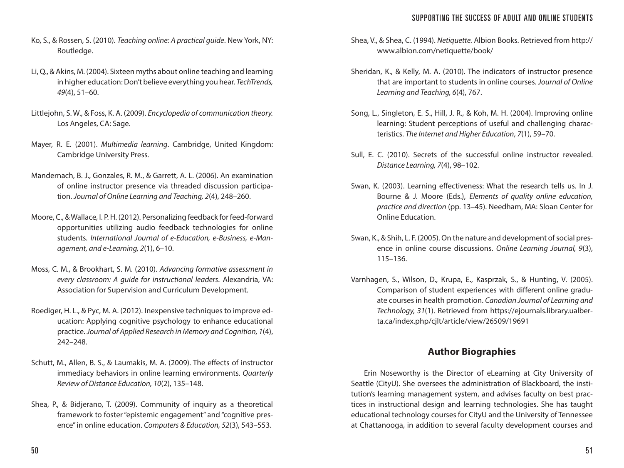#### SUPPORTING THE SUCCESS OF ADULT AND ONLINE STUDENTS

- Ko, S., & Rossen, S. (2010). *Teaching online: A practical guide*. New York, NY: Routledge.
- Li, Q., & Akins, M. (2004). Sixteen myths about online teaching and learning in higher education: Don't believe everything you hear. *TechTrends, 49*(4), 51–60.
- Littlejohn, S. W., & Foss, K. A. (2009). *Encyclopedia of communication theory.* Los Angeles, CA: Sage.
- Mayer, R. E. (2001). *Multimedia learning*. Cambridge, United Kingdom: Cambridge University Press.
- Mandernach, B. J., Gonzales, R. M., & Garrett, A. L. (2006). An examination of online instructor presence via threaded discussion participation. *Journal of Online Learning and Teaching, 2*(4), 248–260.
- Moore, C., & Wallace, I. P. H. (2012). Personalizing feedback for feed-forward opportunities utilizing audio feedback technologies for online students. *International Journal of e-Education, e-Business, e-Management, and e-Learning, 2*(1), 6–10.
- Moss, C. M., & Brookhart, S. M. (2010). *Advancing formative assessment in every classroom: A guide for instructional leaders*. Alexandria, VA: Association for Supervision and Curriculum Development.
- Roediger, H. L., & Pyc, M. A. (2012). Inexpensive techniques to improve education: Applying cognitive psychology to enhance educational practice. *Journal of Applied Research in Memory and Cognition, 1*(4), 242–248.
- Schutt, M., Allen, B. S., & Laumakis, M. A. (2009). The effects of instructor immediacy behaviors in online learning environments. *Quarterly Review of Distance Education, 10*(2), 135–148.
- Shea, P., & Bidjerano, T. (2009). Community of inquiry as a theoretical framework to foster "epistemic engagement" and "cognitive presence" in online education. *Computers & Education, 52*(3), 543–553.
- Shea, V., & Shea, C. (1994). *Netiquette.* Albion Books. Retrieved from http:// www.albion.com/netiquette/book/
- Sheridan, K., & Kelly, M. A. (2010). The indicators of instructor presence that are important to students in online courses. *Journal of Online Learning and Teaching, 6*(4), 767.
- Song, L., Singleton, E. S., Hill, J. R., & Koh, M. H. (2004). Improving online learning: Student perceptions of useful and challenging characteristics. *The Internet and Higher Education*, *7*(1), 59–70.
- Sull, E. C. (2010). Secrets of the successful online instructor revealed. *Distance Learning, 7*(4), 98–102.
- Swan, K. (2003). Learning effectiveness: What the research tells us. In J. Bourne & J. Moore (Eds.), *Elements of quality online education, practice and direction* (pp. 13–45). Needham, MA: Sloan Center for Online Education.
- Swan, K., & Shih, L. F. (2005). On the nature and development of social presence in online course discussions. *Online Learning Journal, 9*(3), 115–136.
- Varnhagen, S., Wilson, D., Krupa, E., Kasprzak, S., & Hunting, V. (2005). Comparison of student experiences with different online graduate courses in health promotion. *Canadian Journal of Learning and Technology, 31*(1). Retrieved from https://ejournals.library.ualberta.ca/index.php/cjlt/article/view/26509/19691

# **Author Biographies**

Erin Noseworthy is the Director of eLearning at City University of Seattle (CityU). She oversees the administration of Blackboard, the institution's learning management system, and advises faculty on best practices in instructional design and learning technologies. She has taught educational technology courses for CityU and the University of Tennessee at Chattanooga, in addition to several faculty development courses and